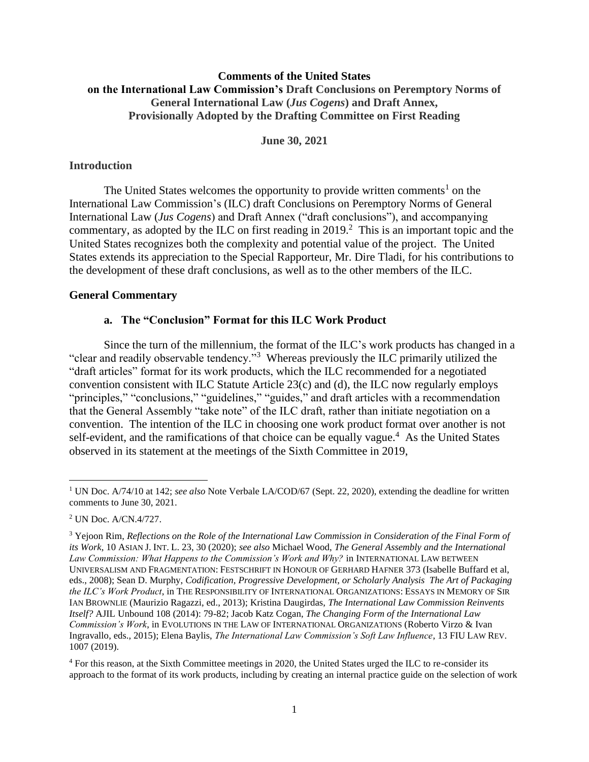# **Comments of the United States on the International Law Commission's Draft Conclusions on Peremptory Norms of General International Law (***Jus Cogens***) and Draft Annex, Provisionally Adopted by the Drafting Committee on First Reading**

**June 30, 2021**

#### **Introduction**

The United States welcomes the opportunity to provide written comments<sup>1</sup> on the International Law Commission's (ILC) draft Conclusions on Peremptory Norms of General International Law (*Jus Cogens*) and Draft Annex ("draft conclusions"), and accompanying commentary, as adopted by the ILC on first reading in  $2019<sup>2</sup>$ . This is an important topic and the United States recognizes both the complexity and potential value of the project. The United States extends its appreciation to the Special Rapporteur, Mr. Dire Tladi, for his contributions to the development of these draft conclusions, as well as to the other members of the ILC.

#### **General Commentary**

#### **a. The "Conclusion" Format for this ILC Work Product**

Since the turn of the millennium, the format of the ILC's work products has changed in a "clear and readily observable tendency."<sup>3</sup> Whereas previously the ILC primarily utilized the "draft articles" format for its work products, which the ILC recommended for a negotiated convention consistent with ILC Statute Article 23(c) and (d), the ILC now regularly employs "principles," "conclusions," "guidelines," "guides," and draft articles with a recommendation that the General Assembly "take note" of the ILC draft, rather than initiate negotiation on a convention. The intention of the ILC in choosing one work product format over another is not self-evident, and the ramifications of that choice can be equally vague.<sup>4</sup> As the United States observed in its statement at the meetings of the Sixth Committee in 2019,

<sup>4</sup> For this reason, at the Sixth Committee meetings in 2020, the United States urged the ILC to re-consider its approach to the format of its work products, including by creating an internal practice guide on the selection of work

<sup>&</sup>lt;sup>1</sup> UN Doc. A/74/10 at 142; *see also* Note Verbale LA/COD/67 (Sept. 22, 2020), extending the deadline for written comments to June 30, 2021.

<sup>2</sup> UN Doc. A/CN.4/727.

<sup>3</sup> Yejoon Rim, *Reflections on the Role of the International Law Commission in Consideration of the Final Form of its Work*, 10 ASIAN J. INT. L. 23, 30 (2020); *see also* Michael Wood, *The General Assembly and the International*  Law Commission: What Happens to the Commission's Work and Why? in INTERNATIONAL LAW BETWEEN UNIVERSALISM AND FRAGMENTATION: FESTSCHRIFT IN HONOUR OF GERHARD HAFNER 373 (Isabelle Buffard et al, eds., 2008); Sean D. Murphy, *Codification, Progressive Development, or Scholarly Analysis The Art of Packaging the ILC's Work Product*, in THE RESPONSIBILITY OF INTERNATIONAL ORGANIZATIONS: ESSAYS IN MEMORY OF SIR IAN BROWNLIE (Maurizio Ragazzi, ed., 2013); Kristina Daugirdas, *The International Law Commission Reinvents Itself?* AJIL Unbound 108 (2014): 79-82; Jacob Katz Cogan, *The Changing Form of the International Law Commission's Work*, in EVOLUTIONS IN THE LAW OF INTERNATIONAL ORGANIZATIONS (Roberto Virzo & Ivan Ingravallo, eds., 2015); Elena Baylis, *The International Law Commission's Soft Law Influence*, 13 FIU LAW REV. 1007 (2019).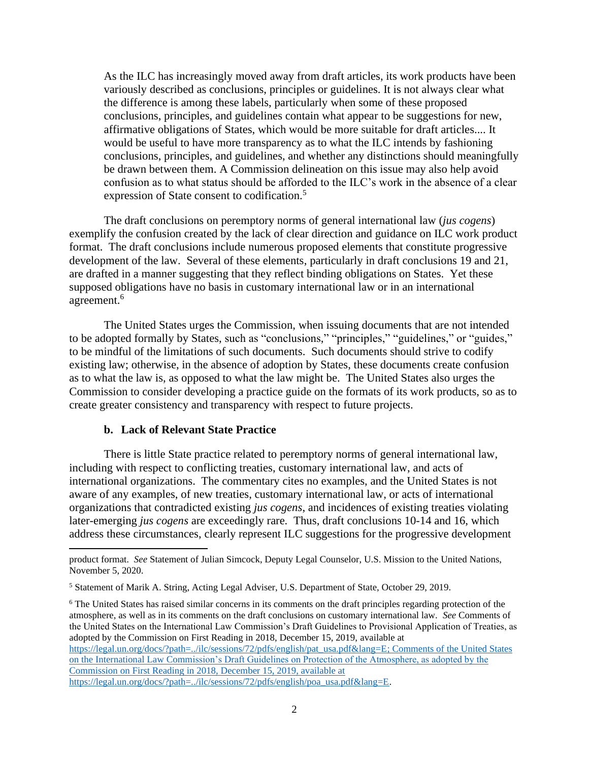As the ILC has increasingly moved away from draft articles, its work products have been variously described as conclusions, principles or guidelines. It is not always clear what the difference is among these labels, particularly when some of these proposed conclusions, principles, and guidelines contain what appear to be suggestions for new, affirmative obligations of States, which would be more suitable for draft articles.... It would be useful to have more transparency as to what the ILC intends by fashioning conclusions, principles, and guidelines, and whether any distinctions should meaningfully be drawn between them. A Commission delineation on this issue may also help avoid confusion as to what status should be afforded to the ILC's work in the absence of a clear expression of State consent to codification.<sup>5</sup>

The draft conclusions on peremptory norms of general international law (*jus cogens*) exemplify the confusion created by the lack of clear direction and guidance on ILC work product format. The draft conclusions include numerous proposed elements that constitute progressive development of the law. Several of these elements, particularly in draft conclusions 19 and 21, are drafted in a manner suggesting that they reflect binding obligations on States. Yet these supposed obligations have no basis in customary international law or in an international agreement.<sup>6</sup>

The United States urges the Commission, when issuing documents that are not intended to be adopted formally by States, such as "conclusions," "principles," "guidelines," or "guides," to be mindful of the limitations of such documents. Such documents should strive to codify existing law; otherwise, in the absence of adoption by States, these documents create confusion as to what the law is, as opposed to what the law might be. The United States also urges the Commission to consider developing a practice guide on the formats of its work products, so as to create greater consistency and transparency with respect to future projects.

#### **b. Lack of Relevant State Practice**

There is little State practice related to peremptory norms of general international law, including with respect to conflicting treaties, customary international law, and acts of international organizations. The commentary cites no examples, and the United States is not aware of any examples, of new treaties, customary international law, or acts of international organizations that contradicted existing *jus cogens*, and incidences of existing treaties violating later-emerging *jus cogens* are exceedingly rare*.* Thus, draft conclusions 10-14 and 16, which address these circumstances, clearly represent ILC suggestions for the progressive development

product format. *See* Statement of Julian Simcock, Deputy Legal Counselor, U.S. Mission to the United Nations, November 5, 2020.

<sup>5</sup> Statement of Marik A. String, Acting Legal Adviser, U.S. Department of State, October 29, 2019.

<sup>6</sup> The United States has raised similar concerns in its comments on the draft principles regarding protection of the atmosphere, as well as in its comments on the draft conclusions on customary international law. *See* Comments of the United States on the International Law Commission's Draft Guidelines to Provisional Application of Treaties, as adopted by the Commission on First Reading in 2018, December 15, 2019, available at [https://legal.un.org/docs/?path=../ilc/sessions/72/pdfs/english/pat\\_usa.pdf&lang=E;](https://legal.un.org/docs/?path=../ilc/sessions/72/pdfs/english/pat_usa.pdf&lang=E) Comments of the United States on the International Law Commission's Draft Guidelines on Protection of the Atmosphere, as adopted by the Commission on First Reading in 2018, December 15, 2019, available at https://legal.un.org/docs/?path=../ilc/sessions/72/pdfs/english/poa\_usa.pdf&lang=E.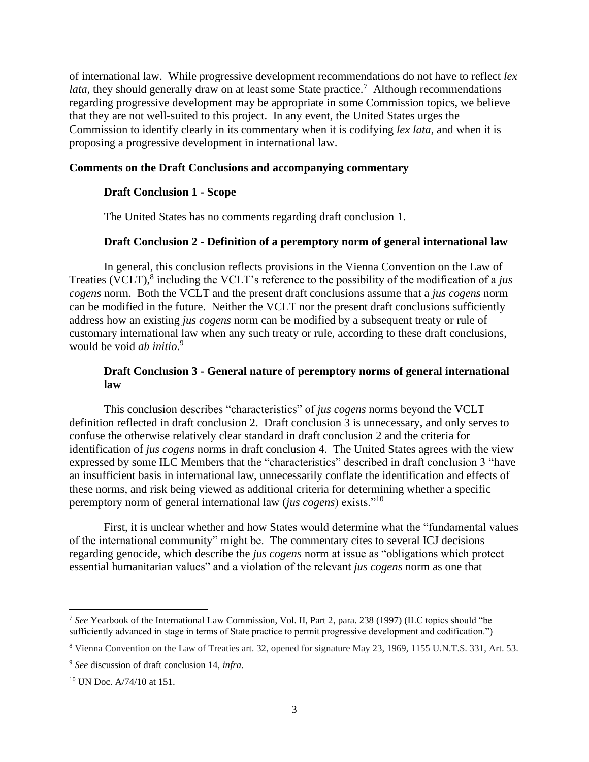of international law. While progressive development recommendations do not have to reflect *lex*  lata, they should generally draw on at least some State practice.<sup>7</sup> Although recommendations regarding progressive development may be appropriate in some Commission topics, we believe that they are not well-suited to this project. In any event, the United States urges the Commission to identify clearly in its commentary when it is codifying *lex lata*, and when it is proposing a progressive development in international law.

#### **Comments on the Draft Conclusions and accompanying commentary**

#### **Draft Conclusion 1 - Scope**

The United States has no comments regarding draft conclusion 1.

#### **Draft Conclusion 2 - Definition of a peremptory norm of general international law**

In general, this conclusion reflects provisions in the Vienna Convention on the Law of Treaties (VCLT), 8 including the VCLT's reference to the possibility of the modification of a *jus cogens* norm. Both the VCLT and the present draft conclusions assume that a *jus cogens* norm can be modified in the future. Neither the VCLT nor the present draft conclusions sufficiently address how an existing *jus cogens* norm can be modified by a subsequent treaty or rule of customary international law when any such treaty or rule, according to these draft conclusions, would be void *ab initio*. 9

## **Draft Conclusion 3 - General nature of peremptory norms of general international law**

This conclusion describes "characteristics" of *jus cogens* norms beyond the VCLT definition reflected in draft conclusion 2. Draft conclusion 3 is unnecessary, and only serves to confuse the otherwise relatively clear standard in draft conclusion 2 and the criteria for identification of *jus cogens* norms in draft conclusion 4. The United States agrees with the view expressed by some ILC Members that the "characteristics" described in draft conclusion 3 "have an insufficient basis in international law, unnecessarily conflate the identification and effects of these norms, and risk being viewed as additional criteria for determining whether a specific peremptory norm of general international law (*jus cogens*) exists."<sup>10</sup>

First, it is unclear whether and how States would determine what the "fundamental values of the international community" might be. The commentary cites to several ICJ decisions regarding genocide, which describe the *jus cogens* norm at issue as "obligations which protect essential humanitarian values" and a violation of the relevant *jus cogens* norm as one that

<sup>7</sup> *See* Yearbook of the International Law Commission, Vol. II, Part 2, para. 238 (1997) (ILC topics should "be sufficiently advanced in stage in terms of State practice to permit progressive development and codification.")

<sup>8</sup> Vienna Convention on the Law of Treaties art. 32, opened for signature May 23, 1969, 1155 U.N.T.S. 331, Art. 53.

<sup>9</sup> *See* discussion of draft conclusion 14, *infra*.

<sup>10</sup> UN Doc. A/74/10 at 151.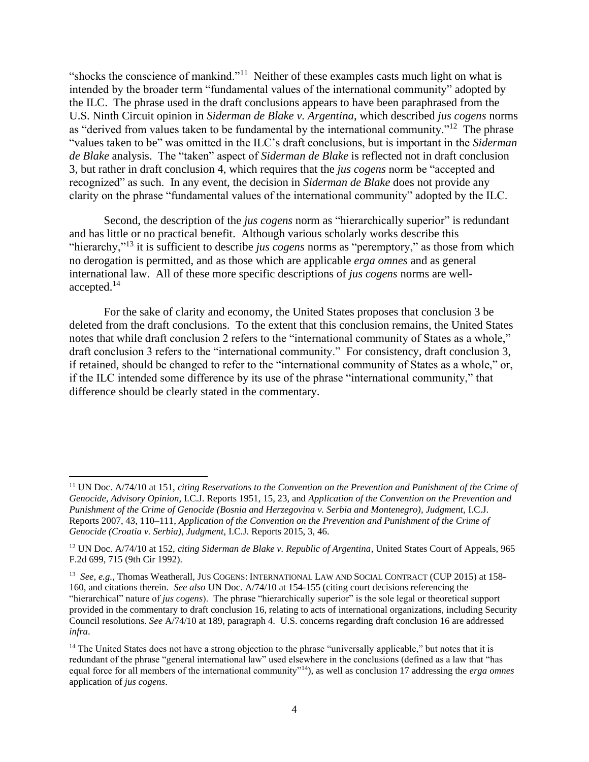"shocks the conscience of mankind."<sup>11</sup> Neither of these examples casts much light on what is intended by the broader term "fundamental values of the international community" adopted by the ILC. The phrase used in the draft conclusions appears to have been paraphrased from the U.S. Ninth Circuit opinion in *Siderman de Blake v. Argentina*, which described *jus cogens* norms as "derived from values taken to be fundamental by the international community."<sup>12</sup> The phrase "values taken to be" was omitted in the ILC's draft conclusions, but is important in the *Siderman de Blake* analysis. The "taken" aspect of *Siderman de Blake* is reflected not in draft conclusion 3, but rather in draft conclusion 4, which requires that the *jus cogens* norm be "accepted and recognized" as such. In any event, the decision in *Siderman de Blake* does not provide any clarity on the phrase "fundamental values of the international community" adopted by the ILC.

Second, the description of the *jus cogens* norm as "hierarchically superior" is redundant and has little or no practical benefit. Although various scholarly works describe this "hierarchy,"<sup>13</sup> it is sufficient to describe *jus cogens* norms as "peremptory," as those from which no derogation is permitted, and as those which are applicable *erga omnes* and as general international law. All of these more specific descriptions of *jus cogens* norms are wellaccepted.<sup>14</sup>

For the sake of clarity and economy, the United States proposes that conclusion 3 be deleted from the draft conclusions. To the extent that this conclusion remains, the United States notes that while draft conclusion 2 refers to the "international community of States as a whole," draft conclusion 3 refers to the "international community." For consistency, draft conclusion 3, if retained, should be changed to refer to the "international community of States as a whole," or, if the ILC intended some difference by its use of the phrase "international community," that difference should be clearly stated in the commentary.

<sup>11</sup> UN Doc. A/74/10 at 151, *citing Reservations to the Convention on the Prevention and Punishment of the Crime of Genocide, Advisory Opinion,* I.C.J. Reports 1951, 15, 23, and *Application of the Convention on the Prevention and Punishment of the Crime of Genocide (Bosnia and Herzegovina v. Serbia and Montenegro), Judgment,* I.C.J. Reports 2007, 43, 110–111, *Application of the Convention on the Prevention and Punishment of the Crime of Genocide (Croatia v. Serbia), Judgment,* I.C.J. Reports 2015, 3, 46.

<sup>12</sup> UN Doc. A/74/10 at 152, *citing Siderman de Blake v. Republic of Argentina*, United States Court of Appeals, 965 F.2d 699, 715 (9th Cir 1992).

<sup>13</sup> *See, e.g.*, Thomas Weatherall, JUS COGENS: INTERNATIONAL LAW AND SOCIAL CONTRACT (CUP 2015) at 158- 160, and citations therein. *See also* UN Doc. A/74/10 at 154-155 (citing court decisions referencing the "hierarchical" nature of *jus cogens*). The phrase "hierarchically superior" is the sole legal or theoretical support provided in the commentary to draft conclusion 16, relating to acts of international organizations, including Security Council resolutions. *See* A/74/10 at 189, paragraph 4. U.S. concerns regarding draft conclusion 16 are addressed *infra*.

<sup>&</sup>lt;sup>14</sup> The United States does not have a strong objection to the phrase "universally applicable," but notes that it is redundant of the phrase "general international law" used elsewhere in the conclusions (defined as a law that "has equal force for all members of the international community"<sup>14</sup>), as well as conclusion 17 addressing the *erga omnes* application of *jus cogens*.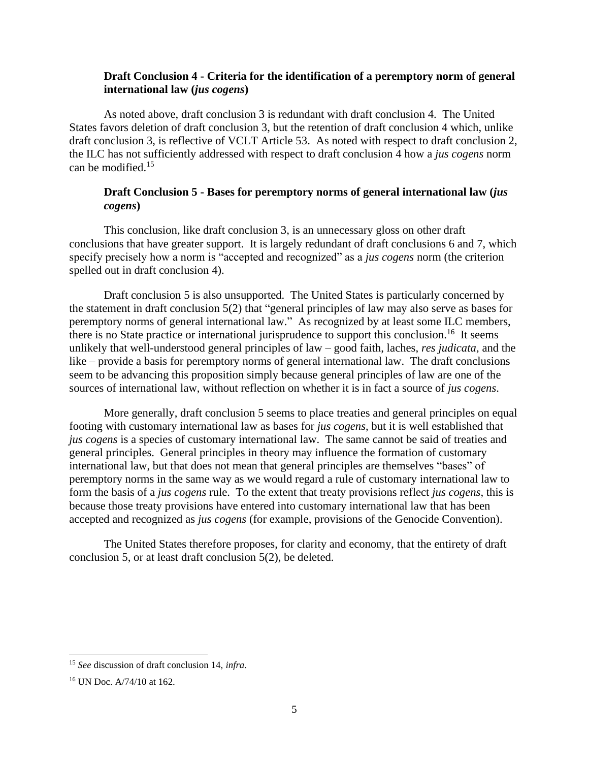### **Draft Conclusion 4 - Criteria for the identification of a peremptory norm of general international law (***jus cogens***)**

As noted above, draft conclusion 3 is redundant with draft conclusion 4. The United States favors deletion of draft conclusion 3, but the retention of draft conclusion 4 which, unlike draft conclusion 3, is reflective of VCLT Article 53. As noted with respect to draft conclusion 2, the ILC has not sufficiently addressed with respect to draft conclusion 4 how a *jus cogens* norm can be modified. 15

# **Draft Conclusion 5 - Bases for peremptory norms of general international law (***jus cogens***)**

This conclusion, like draft conclusion 3, is an unnecessary gloss on other draft conclusions that have greater support. It is largely redundant of draft conclusions 6 and 7, which specify precisely how a norm is "accepted and recognized" as a *jus cogens* norm (the criterion spelled out in draft conclusion 4).

Draft conclusion 5 is also unsupported. The United States is particularly concerned by the statement in draft conclusion 5(2) that "general principles of law may also serve as bases for peremptory norms of general international law." As recognized by at least some ILC members, there is no State practice or international jurisprudence to support this conclusion.<sup>16</sup> It seems unlikely that well-understood general principles of law – good faith, laches, *res judicata*, and the like – provide a basis for peremptory norms of general international law. The draft conclusions seem to be advancing this proposition simply because general principles of law are one of the sources of international law, without reflection on whether it is in fact a source of *jus cogens*.

More generally, draft conclusion 5 seems to place treaties and general principles on equal footing with customary international law as bases for *jus cogens*, but it is well established that *jus cogens* is a species of customary international law. The same cannot be said of treaties and general principles. General principles in theory may influence the formation of customary international law, but that does not mean that general principles are themselves "bases" of peremptory norms in the same way as we would regard a rule of customary international law to form the basis of a *jus cogens* rule. To the extent that treaty provisions reflect *jus cogens*, this is because those treaty provisions have entered into customary international law that has been accepted and recognized as *jus cogens* (for example, provisions of the Genocide Convention).

The United States therefore proposes, for clarity and economy, that the entirety of draft conclusion 5, or at least draft conclusion 5(2), be deleted.

<sup>15</sup> *See* discussion of draft conclusion 14, *infra*.

<sup>16</sup> UN Doc. A/74/10 at 162.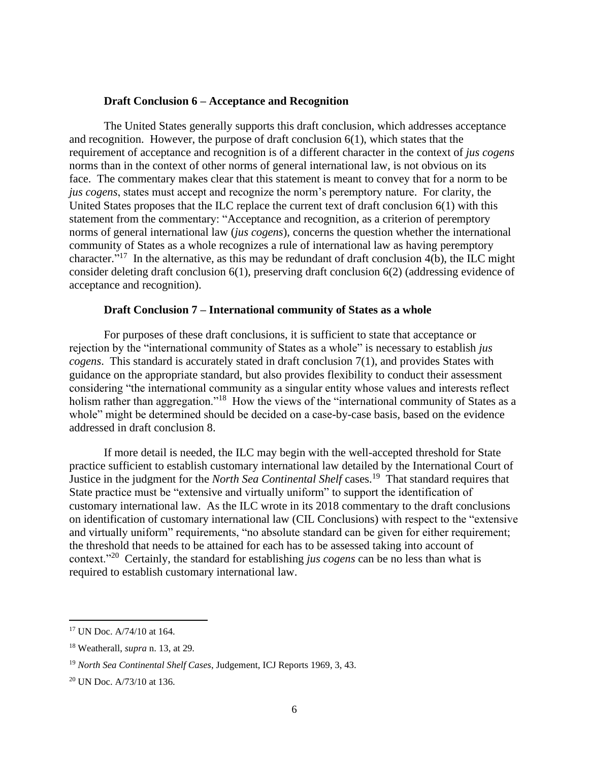#### **Draft Conclusion 6 – Acceptance and Recognition**

The United States generally supports this draft conclusion, which addresses acceptance and recognition. However, the purpose of draft conclusion 6(1), which states that the requirement of acceptance and recognition is of a different character in the context of *jus cogens* norms than in the context of other norms of general international law, is not obvious on its face. The commentary makes clear that this statement is meant to convey that for a norm to be *jus cogens*, states must accept and recognize the norm's peremptory nature. For clarity, the United States proposes that the ILC replace the current text of draft conclusion 6(1) with this statement from the commentary: "Acceptance and recognition, as a criterion of peremptory norms of general international law (*jus cogens*), concerns the question whether the international community of States as a whole recognizes a rule of international law as having peremptory character."<sup>17</sup> In the alternative, as this may be redundant of draft conclusion 4(b), the ILC might consider deleting draft conclusion 6(1), preserving draft conclusion 6(2) (addressing evidence of acceptance and recognition).

#### **Draft Conclusion 7 – International community of States as a whole**

For purposes of these draft conclusions, it is sufficient to state that acceptance or rejection by the "international community of States as a whole" is necessary to establish *jus cogens*. This standard is accurately stated in draft conclusion 7(1), and provides States with guidance on the appropriate standard, but also provides flexibility to conduct their assessment considering "the international community as a singular entity whose values and interests reflect holism rather than aggregation."<sup>18</sup> How the views of the "international community of States as a whole" might be determined should be decided on a case-by-case basis, based on the evidence addressed in draft conclusion 8.

If more detail is needed, the ILC may begin with the well-accepted threshold for State practice sufficient to establish customary international law detailed by the International Court of Justice in the judgment for the *North Sea Continental Shelf* cases.<sup>19</sup> That standard requires that State practice must be "extensive and virtually uniform" to support the identification of customary international law. As the ILC wrote in its 2018 commentary to the draft conclusions on identification of customary international law (CIL Conclusions) with respect to the "extensive and virtually uniform" requirements, "no absolute standard can be given for either requirement; the threshold that needs to be attained for each has to be assessed taking into account of context.<sup>"20</sup> Certainly, the standard for establishing *jus cogens* can be no less than what is required to establish customary international law.

<sup>17</sup> UN Doc. A/74/10 at 164.

<sup>18</sup> Weatherall, *supra* n. 13, at 29.

<sup>19</sup> *North Sea Continental Shelf Cases*, Judgement, ICJ Reports 1969, 3, 43.

<sup>20</sup> UN Doc. A/73/10 at 136.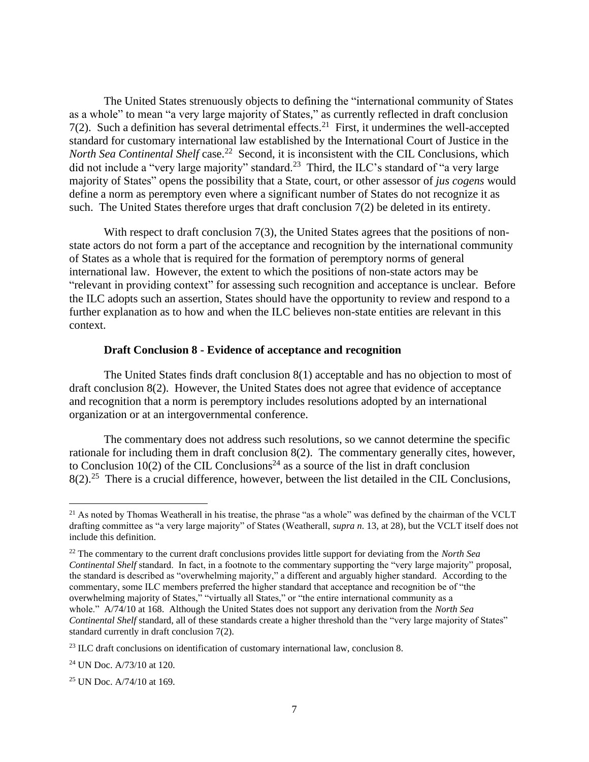The United States strenuously objects to defining the "international community of States as a whole" to mean "a very large majority of States," as currently reflected in draft conclusion  $7(2)$ . Such a definition has several detrimental effects.<sup>21</sup> First, it undermines the well-accepted standard for customary international law established by the International Court of Justice in the North Sea Continental Shelf case.<sup>22</sup> Second, it is inconsistent with the CIL Conclusions, which did not include a "very large majority" standard.<sup>23</sup> Third, the ILC's standard of "a very large majority of States" opens the possibility that a State, court, or other assessor of *jus cogens* would define a norm as peremptory even where a significant number of States do not recognize it as such. The United States therefore urges that draft conclusion 7(2) be deleted in its entirety.

With respect to draft conclusion 7(3), the United States agrees that the positions of nonstate actors do not form a part of the acceptance and recognition by the international community of States as a whole that is required for the formation of peremptory norms of general international law. However, the extent to which the positions of non-state actors may be "relevant in providing context" for assessing such recognition and acceptance is unclear. Before the ILC adopts such an assertion, States should have the opportunity to review and respond to a further explanation as to how and when the ILC believes non-state entities are relevant in this context.

#### **Draft Conclusion 8 - Evidence of acceptance and recognition**

The United States finds draft conclusion 8(1) acceptable and has no objection to most of draft conclusion 8(2). However, the United States does not agree that evidence of acceptance and recognition that a norm is peremptory includes resolutions adopted by an international organization or at an intergovernmental conference.

The commentary does not address such resolutions, so we cannot determine the specific rationale for including them in draft conclusion 8(2). The commentary generally cites, however, to Conclusion 10(2) of the CIL Conclusions<sup>24</sup> as a source of the list in draft conclusion  $8(2).^{25}$  There is a crucial difference, however, between the list detailed in the CIL Conclusions,

 $^{21}$  As noted by Thomas Weatherall in his treatise, the phrase "as a whole" was defined by the chairman of the VCLT drafting committee as "a very large majority" of States (Weatherall, *supra n.* 13, at 28), but the VCLT itself does not include this definition.

<sup>22</sup> The commentary to the current draft conclusions provides little support for deviating from the *North Sea Continental Shelf* standard. In fact, in a footnote to the commentary supporting the "very large majority" proposal, the standard is described as "overwhelming majority," a different and arguably higher standard. According to the commentary, some ILC members preferred the higher standard that acceptance and recognition be of "the overwhelming majority of States," "virtually all States," or "the entire international community as a whole." A/74/10 at 168. Although the United States does not support any derivation from the *North Sea Continental Shelf* standard, all of these standards create a higher threshold than the "very large majority of States" standard currently in draft conclusion 7(2).

<sup>&</sup>lt;sup>23</sup> ILC draft conclusions on identification of customary international law, conclusion 8.

 $24$  UN Doc. A/73/10 at 120.

<sup>25</sup> UN Doc. A/74/10 at 169.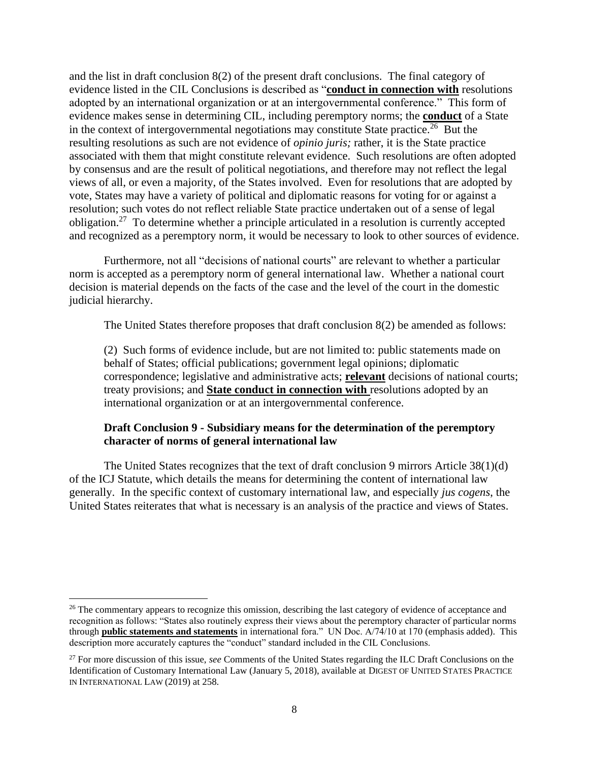and the list in draft conclusion 8(2) of the present draft conclusions. The final category of evidence listed in the CIL Conclusions is described as "**conduct in connection with** resolutions adopted by an international organization or at an intergovernmental conference." This form of evidence makes sense in determining CIL, including peremptory norms; the **conduct** of a State in the context of intergovernmental negotiations may constitute State practice.<sup>26</sup> But the resulting resolutions as such are not evidence of *opinio juris;* rather, it is the State practice associated with them that might constitute relevant evidence. Such resolutions are often adopted by consensus and are the result of political negotiations, and therefore may not reflect the legal views of all, or even a majority, of the States involved. Even for resolutions that are adopted by vote, States may have a variety of political and diplomatic reasons for voting for or against a resolution; such votes do not reflect reliable State practice undertaken out of a sense of legal obligation.<sup>27</sup> To determine whether a principle articulated in a resolution is currently accepted and recognized as a peremptory norm, it would be necessary to look to other sources of evidence.

Furthermore, not all "decisions of national courts" are relevant to whether a particular norm is accepted as a peremptory norm of general international law. Whether a national court decision is material depends on the facts of the case and the level of the court in the domestic judicial hierarchy.

The United States therefore proposes that draft conclusion 8(2) be amended as follows:

(2) Such forms of evidence include, but are not limited to: public statements made on behalf of States; official publications; government legal opinions; diplomatic correspondence; legislative and administrative acts; **relevant** decisions of national courts; treaty provisions; and **State conduct in connection with** resolutions adopted by an international organization or at an intergovernmental conference.

# **Draft Conclusion 9 - Subsidiary means for the determination of the peremptory character of norms of general international law**

The United States recognizes that the text of draft conclusion 9 mirrors Article 38(1)(d) of the ICJ Statute, which details the means for determining the content of international law generally. In the specific context of customary international law, and especially *jus cogens*, the United States reiterates that what is necessary is an analysis of the practice and views of States.

<sup>&</sup>lt;sup>26</sup> The commentary appears to recognize this omission, describing the last category of evidence of acceptance and recognition as follows: "States also routinely express their views about the peremptory character of particular norms through **public statements and statements** in international fora." UN Doc. A/74/10 at 170 (emphasis added). This description more accurately captures the "conduct" standard included in the CIL Conclusions.

<sup>27</sup> For more discussion of this issue, *see* Comments of the United States regarding the ILC Draft Conclusions on the Identification of Customary International Law (January 5, 2018), available at DIGEST OF UNITED STATES PRACTICE IN INTERNATIONAL LAW (2019) at 258.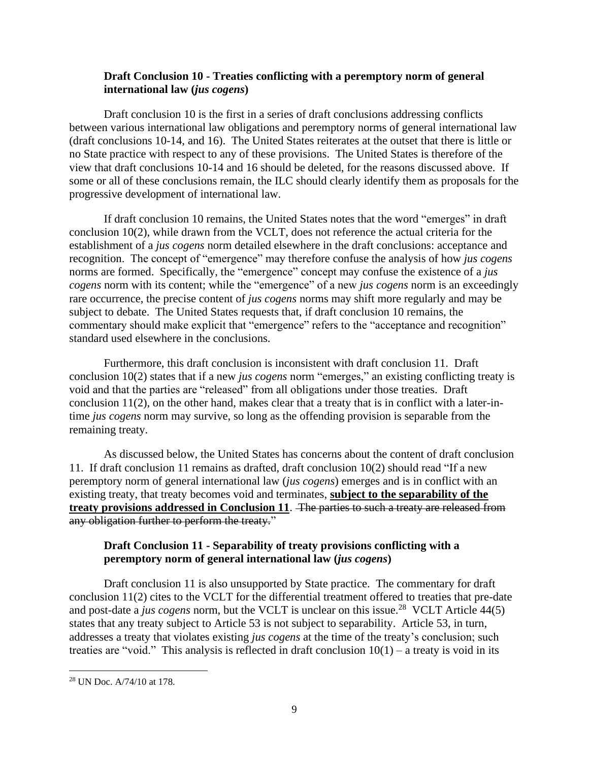## **Draft Conclusion 10 - Treaties conflicting with a peremptory norm of general international law (***jus cogens***)**

Draft conclusion 10 is the first in a series of draft conclusions addressing conflicts between various international law obligations and peremptory norms of general international law (draft conclusions 10-14, and 16). The United States reiterates at the outset that there is little or no State practice with respect to any of these provisions. The United States is therefore of the view that draft conclusions 10-14 and 16 should be deleted, for the reasons discussed above. If some or all of these conclusions remain, the ILC should clearly identify them as proposals for the progressive development of international law.

If draft conclusion 10 remains, the United States notes that the word "emerges" in draft conclusion 10(2), while drawn from the VCLT, does not reference the actual criteria for the establishment of a *jus cogens* norm detailed elsewhere in the draft conclusions: acceptance and recognition. The concept of "emergence" may therefore confuse the analysis of how *jus cogens* norms are formed. Specifically, the "emergence" concept may confuse the existence of a *jus cogens* norm with its content; while the "emergence" of a new *jus cogens* norm is an exceedingly rare occurrence, the precise content of *jus cogens* norms may shift more regularly and may be subject to debate. The United States requests that, if draft conclusion 10 remains, the commentary should make explicit that "emergence" refers to the "acceptance and recognition" standard used elsewhere in the conclusions.

Furthermore, this draft conclusion is inconsistent with draft conclusion 11. Draft conclusion 10(2) states that if a new *jus cogens* norm "emerges," an existing conflicting treaty is void and that the parties are "released" from all obligations under those treaties. Draft conclusion 11(2), on the other hand, makes clear that a treaty that is in conflict with a later-intime *jus cogens* norm may survive, so long as the offending provision is separable from the remaining treaty.

As discussed below, the United States has concerns about the content of draft conclusion 11. If draft conclusion 11 remains as drafted, draft conclusion 10(2) should read "If a new peremptory norm of general international law (*jus cogens*) emerges and is in conflict with an existing treaty, that treaty becomes void and terminates, **subject to the separability of the treaty provisions addressed in Conclusion 11**. The parties to such a treaty are released from any obligation further to perform the treaty."

## **Draft Conclusion 11 - Separability of treaty provisions conflicting with a peremptory norm of general international law (***jus cogens***)**

Draft conclusion 11 is also unsupported by State practice. The commentary for draft conclusion 11(2) cites to the VCLT for the differential treatment offered to treaties that pre-date and post-date a *jus cogens* norm, but the VCLT is unclear on this issue. 28 VCLT Article 44(5) states that any treaty subject to Article 53 is not subject to separability. Article 53, in turn, addresses a treaty that violates existing *jus cogens* at the time of the treaty's conclusion; such treaties are "void." This analysis is reflected in draft conclusion  $10(1)$  – a treaty is void in its

<sup>28</sup> UN Doc. A/74/10 at 178.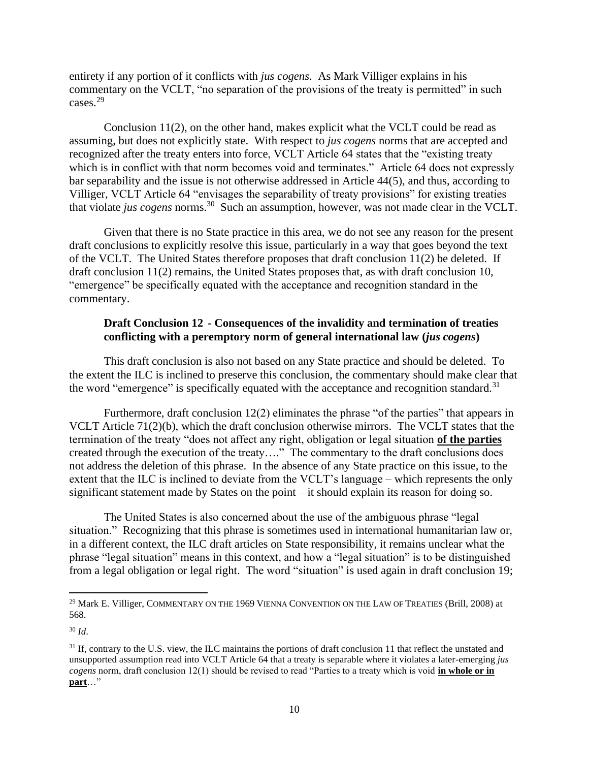entirety if any portion of it conflicts with *jus cogens*. As Mark Villiger explains in his commentary on the VCLT, "no separation of the provisions of the treaty is permitted" in such cases.<sup>29</sup>

Conclusion  $11(2)$ , on the other hand, makes explicit what the VCLT could be read as assuming, but does not explicitly state. With respect to *jus cogens* norms that are accepted and recognized after the treaty enters into force, VCLT Article 64 states that the "existing treaty which is in conflict with that norm becomes void and terminates." Article 64 does not expressly bar separability and the issue is not otherwise addressed in Article 44(5), and thus, according to Villiger, VCLT Article 64 "envisages the separability of treaty provisions" for existing treaties that violate *jus cogens* norms.<sup>30</sup> Such an assumption, however, was not made clear in the VCLT.

Given that there is no State practice in this area, we do not see any reason for the present draft conclusions to explicitly resolve this issue, particularly in a way that goes beyond the text of the VCLT. The United States therefore proposes that draft conclusion 11(2) be deleted. If draft conclusion 11(2) remains, the United States proposes that, as with draft conclusion 10, "emergence" be specifically equated with the acceptance and recognition standard in the commentary.

## **Draft Conclusion 12 - Consequences of the invalidity and termination of treaties conflicting with a peremptory norm of general international law (***jus cogens***)**

This draft conclusion is also not based on any State practice and should be deleted. To the extent the ILC is inclined to preserve this conclusion, the commentary should make clear that the word "emergence" is specifically equated with the acceptance and recognition standard.<sup>31</sup>

Furthermore, draft conclusion 12(2) eliminates the phrase "of the parties" that appears in VCLT Article 71(2)(b), which the draft conclusion otherwise mirrors. The VCLT states that the termination of the treaty "does not affect any right, obligation or legal situation **of the parties** created through the execution of the treaty…." The commentary to the draft conclusions does not address the deletion of this phrase. In the absence of any State practice on this issue, to the extent that the ILC is inclined to deviate from the VCLT's language – which represents the only significant statement made by States on the point – it should explain its reason for doing so.

The United States is also concerned about the use of the ambiguous phrase "legal situation." Recognizing that this phrase is sometimes used in international humanitarian law or, in a different context, the ILC draft articles on State responsibility, it remains unclear what the phrase "legal situation" means in this context, and how a "legal situation" is to be distinguished from a legal obligation or legal right. The word "situation" is used again in draft conclusion 19;

<sup>&</sup>lt;sup>29</sup> Mark E. Villiger, COMMENTARY ON THE 1969 VIENNA CONVENTION ON THE LAW OF TREATIES (Brill, 2008) at 568.

<sup>30</sup> *Id*.

 $31$  If, contrary to the U.S. view, the ILC maintains the portions of draft conclusion 11 that reflect the unstated and unsupported assumption read into VCLT Article 64 that a treaty is separable where it violates a later-emerging *jus cogens* norm, draft conclusion 12(1) should be revised to read "Parties to a treaty which is void **in whole or in part**…"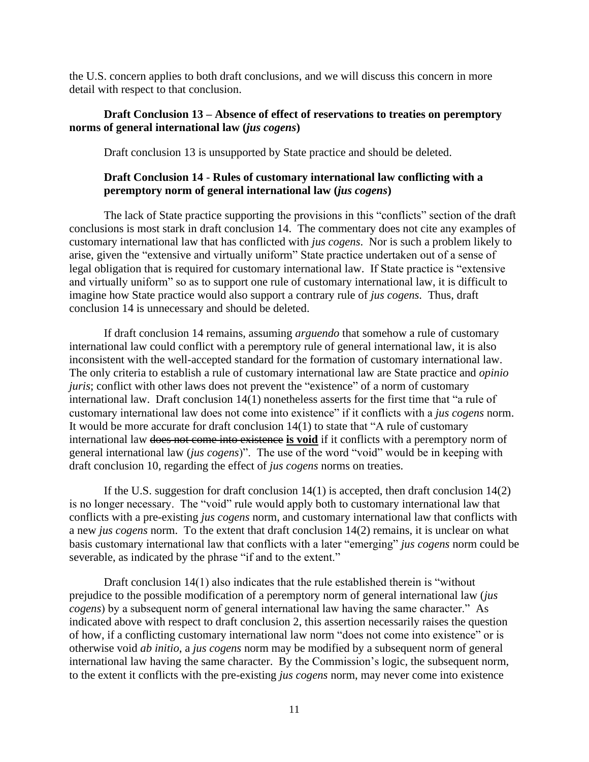the U.S. concern applies to both draft conclusions, and we will discuss this concern in more detail with respect to that conclusion.

### **Draft Conclusion 13 – Absence of effect of reservations to treaties on peremptory norms of general international law (***jus cogens***)**

Draft conclusion 13 is unsupported by State practice and should be deleted.

### **Draft Conclusion 14** - **Rules of customary international law conflicting with a peremptory norm of general international law (***jus cogens***)**

The lack of State practice supporting the provisions in this "conflicts" section of the draft conclusions is most stark in draft conclusion 14. The commentary does not cite any examples of customary international law that has conflicted with *jus cogens*. Nor is such a problem likely to arise, given the "extensive and virtually uniform" State practice undertaken out of a sense of legal obligation that is required for customary international law. If State practice is "extensive and virtually uniform" so as to support one rule of customary international law, it is difficult to imagine how State practice would also support a contrary rule of *jus cogens.* Thus, draft conclusion 14 is unnecessary and should be deleted.

If draft conclusion 14 remains, assuming *arguendo* that somehow a rule of customary international law could conflict with a peremptory rule of general international law, it is also inconsistent with the well-accepted standard for the formation of customary international law. The only criteria to establish a rule of customary international law are State practice and *opinio juris*; conflict with other laws does not prevent the "existence" of a norm of customary international law. Draft conclusion 14(1) nonetheless asserts for the first time that "a rule of customary international law does not come into existence" if it conflicts with a *jus cogens* norm. It would be more accurate for draft conclusion 14(1) to state that "A rule of customary international law does not come into existence **is void** if it conflicts with a peremptory norm of general international law (*jus cogens*)". The use of the word "void" would be in keeping with draft conclusion 10, regarding the effect of *jus cogens* norms on treaties.

If the U.S. suggestion for draft conclusion 14(1) is accepted, then draft conclusion 14(2) is no longer necessary. The "void" rule would apply both to customary international law that conflicts with a pre-existing *jus cogens* norm, and customary international law that conflicts with a new *jus cogens* norm. To the extent that draft conclusion 14(2) remains, it is unclear on what basis customary international law that conflicts with a later "emerging" *jus cogens* norm could be severable, as indicated by the phrase "if and to the extent."

Draft conclusion 14(1) also indicates that the rule established therein is "without prejudice to the possible modification of a peremptory norm of general international law (*jus cogens*) by a subsequent norm of general international law having the same character." As indicated above with respect to draft conclusion 2, this assertion necessarily raises the question of how, if a conflicting customary international law norm "does not come into existence" or is otherwise void *ab initio*, a *jus cogens* norm may be modified by a subsequent norm of general international law having the same character. By the Commission's logic, the subsequent norm, to the extent it conflicts with the pre-existing *jus cogens* norm, may never come into existence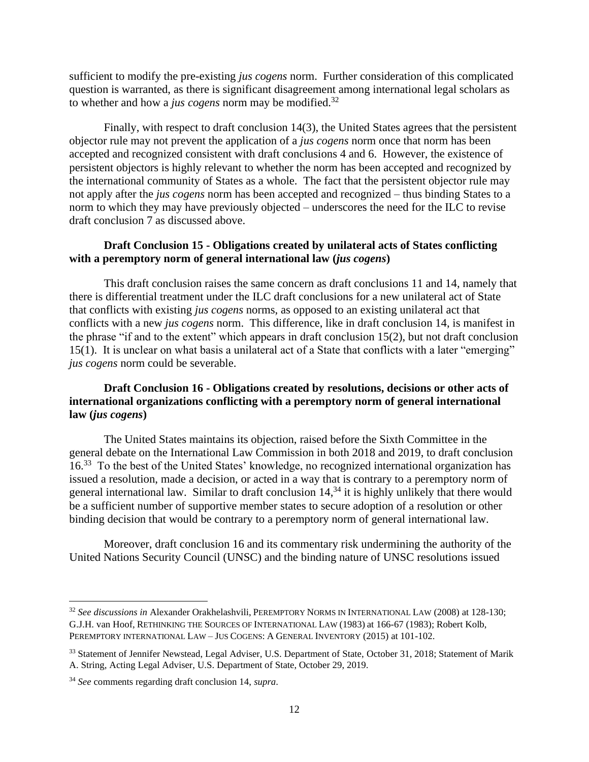sufficient to modify the pre-existing *jus cogens* norm. Further consideration of this complicated question is warranted, as there is significant disagreement among international legal scholars as to whether and how a *jus cogens* norm may be modified.<sup>32</sup>

Finally, with respect to draft conclusion 14(3), the United States agrees that the persistent objector rule may not prevent the application of a *jus cogens* norm once that norm has been accepted and recognized consistent with draft conclusions 4 and 6. However, the existence of persistent objectors is highly relevant to whether the norm has been accepted and recognized by the international community of States as a whole. The fact that the persistent objector rule may not apply after the *jus cogens* norm has been accepted and recognized – thus binding States to a norm to which they may have previously objected – underscores the need for the ILC to revise draft conclusion 7 as discussed above.

## **Draft Conclusion 15 - Obligations created by unilateral acts of States conflicting with a peremptory norm of general international law (***jus cogens***)**

This draft conclusion raises the same concern as draft conclusions 11 and 14, namely that there is differential treatment under the ILC draft conclusions for a new unilateral act of State that conflicts with existing *jus cogens* norms, as opposed to an existing unilateral act that conflicts with a new *jus cogens* norm. This difference, like in draft conclusion 14, is manifest in the phrase "if and to the extent" which appears in draft conclusion 15(2), but not draft conclusion 15(1). It is unclear on what basis a unilateral act of a State that conflicts with a later "emerging" *jus cogens* norm could be severable.

# **Draft Conclusion 16 - Obligations created by resolutions, decisions or other acts of international organizations conflicting with a peremptory norm of general international law (***jus cogens***)**

The United States maintains its objection, raised before the Sixth Committee in the general debate on the International Law Commission in both 2018 and 2019, to draft conclusion 16.<sup>33</sup> To the best of the United States' knowledge, no recognized international organization has issued a resolution, made a decision, or acted in a way that is contrary to a peremptory norm of general international law. Similar to draft conclusion  $14<sup>34</sup>$ , it is highly unlikely that there would be a sufficient number of supportive member states to secure adoption of a resolution or other binding decision that would be contrary to a peremptory norm of general international law.

Moreover, draft conclusion 16 and its commentary risk undermining the authority of the United Nations Security Council (UNSC) and the binding nature of UNSC resolutions issued

<sup>32</sup> *See discussions in* Alexander Orakhelashvili, PEREMPTORY NORMS IN INTERNATIONAL LAW (2008) at 128-130; G.J.H. van Hoof, RETHINKING THE SOURCES OF INTERNATIONAL LAW (1983) at 166-67 (1983); Robert Kolb, PEREMPTORY INTERNATIONAL LAW – JUS COGENS: A GENERAL INVENTORY (2015) at 101-102.

<sup>&</sup>lt;sup>33</sup> Statement of Jennifer Newstead, Legal Adviser, U.S. Department of State, October 31, 2018; Statement of Marik A. String, Acting Legal Adviser, U.S. Department of State, October 29, 2019.

<sup>34</sup> *See* comments regarding draft conclusion 14, *supra*.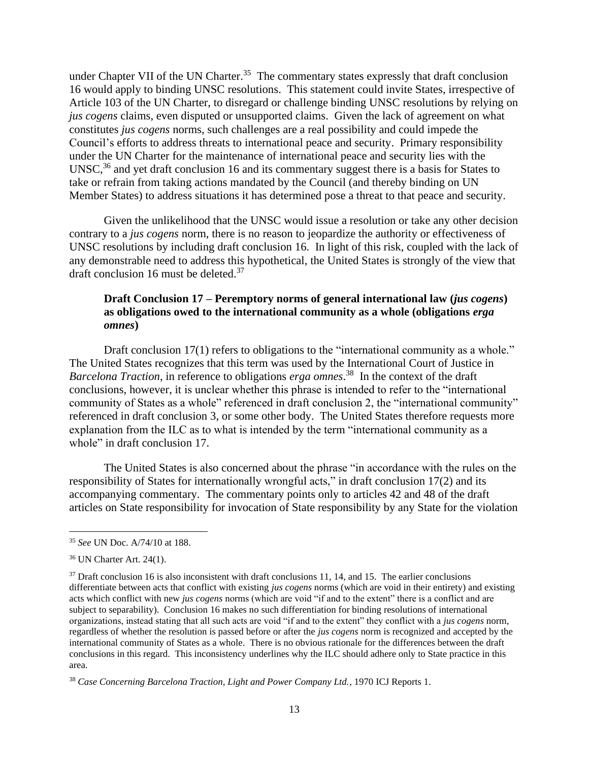under Chapter VII of the UN Charter.<sup>35</sup> The commentary states expressly that draft conclusion 16 would apply to binding UNSC resolutions. This statement could invite States, irrespective of Article 103 of the UN Charter, to disregard or challenge binding UNSC resolutions by relying on *jus cogens* claims, even disputed or unsupported claims. Given the lack of agreement on what constitutes *jus cogens* norms, such challenges are a real possibility and could impede the Council's efforts to address threats to international peace and security. Primary responsibility under the UN Charter for the maintenance of international peace and security lies with the UNSC,<sup>36</sup> and yet draft conclusion 16 and its commentary suggest there is a basis for States to take or refrain from taking actions mandated by the Council (and thereby binding on UN Member States) to address situations it has determined pose a threat to that peace and security.

Given the unlikelihood that the UNSC would issue a resolution or take any other decision contrary to a *jus cogens* norm, there is no reason to jeopardize the authority or effectiveness of UNSC resolutions by including draft conclusion 16. In light of this risk, coupled with the lack of any demonstrable need to address this hypothetical, the United States is strongly of the view that draft conclusion 16 must be deleted.<sup>37</sup>

## **Draft Conclusion 17 – Peremptory norms of general international law (***jus cogens***) as obligations owed to the international community as a whole (obligations** *erga omnes***)**

Draft conclusion 17(1) refers to obligations to the "international community as a whole." The United States recognizes that this term was used by the International Court of Justice in *Barcelona Traction*, in reference to obligations *erga omnes*. 38 In the context of the draft conclusions, however, it is unclear whether this phrase is intended to refer to the "international community of States as a whole" referenced in draft conclusion 2, the "international community" referenced in draft conclusion 3, or some other body. The United States therefore requests more explanation from the ILC as to what is intended by the term "international community as a whole" in draft conclusion 17.

The United States is also concerned about the phrase "in accordance with the rules on the responsibility of States for internationally wrongful acts," in draft conclusion 17(2) and its accompanying commentary. The commentary points only to articles 42 and 48 of the draft articles on State responsibility for invocation of State responsibility by any State for the violation

<sup>35</sup> *See* UN Doc. A/74/10 at 188.

<sup>36</sup> UN Charter Art. 24(1).

 $37$  Draft conclusion 16 is also inconsistent with draft conclusions 11, 14, and 15. The earlier conclusions differentiate between acts that conflict with existing *jus cogens* norms (which are void in their entirety) and existing acts which conflict with new *jus cogens* norms (which are void "if and to the extent" there is a conflict and are subject to separability). Conclusion 16 makes no such differentiation for binding resolutions of international organizations, instead stating that all such acts are void "if and to the extent" they conflict with a *jus cogens* norm, regardless of whether the resolution is passed before or after the *jus cogens* norm is recognized and accepted by the international community of States as a whole. There is no obvious rationale for the differences between the draft conclusions in this regard. This inconsistency underlines why the ILC should adhere only to State practice in this area.

<sup>38</sup> *Case Concerning Barcelona Traction, Light and Power Company Ltd.*, 1970 ICJ Reports 1.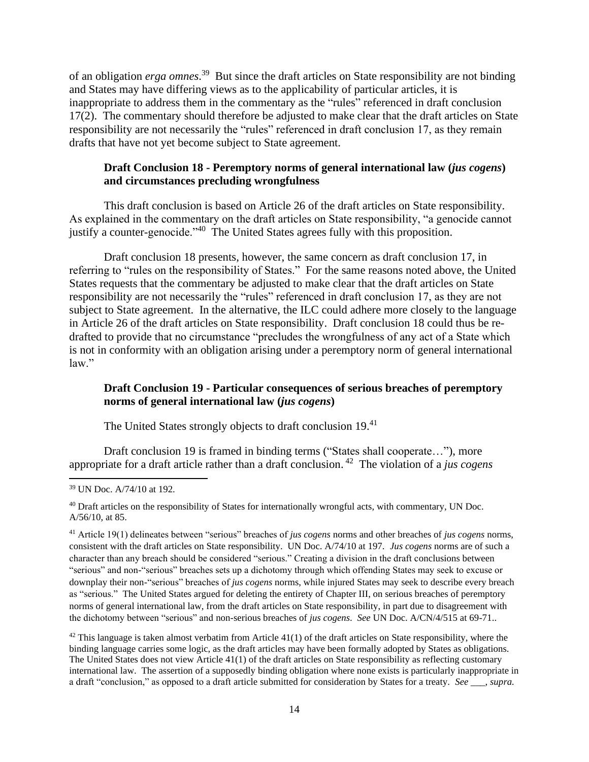of an obligation *erga omnes*. 39 But since the draft articles on State responsibility are not binding and States may have differing views as to the applicability of particular articles, it is inappropriate to address them in the commentary as the "rules" referenced in draft conclusion 17(2). The commentary should therefore be adjusted to make clear that the draft articles on State responsibility are not necessarily the "rules" referenced in draft conclusion 17, as they remain drafts that have not yet become subject to State agreement.

## **Draft Conclusion 18 - Peremptory norms of general international law (***jus cogens***) and circumstances precluding wrongfulness**

This draft conclusion is based on Article 26 of the draft articles on State responsibility. As explained in the commentary on the draft articles on State responsibility, "a genocide cannot justify a counter-genocide."<sup>40</sup> The United States agrees fully with this proposition.

Draft conclusion 18 presents, however, the same concern as draft conclusion 17, in referring to "rules on the responsibility of States." For the same reasons noted above, the United States requests that the commentary be adjusted to make clear that the draft articles on State responsibility are not necessarily the "rules" referenced in draft conclusion 17, as they are not subject to State agreement. In the alternative, the ILC could adhere more closely to the language in Article 26 of the draft articles on State responsibility. Draft conclusion 18 could thus be redrafted to provide that no circumstance "precludes the wrongfulness of any act of a State which is not in conformity with an obligation arising under a peremptory norm of general international law."

# **Draft Conclusion 19 - Particular consequences of serious breaches of peremptory norms of general international law (***jus cogens***)**

The United States strongly objects to draft conclusion 19.<sup>41</sup>

Draft conclusion 19 is framed in binding terms ("States shall cooperate…"), more appropriate for a draft article rather than a draft conclusion. 42 The violation of a *jus cogens*

 $42$  This language is taken almost verbatim from Article 41(1) of the draft articles on State responsibility, where the binding language carries some logic, as the draft articles may have been formally adopted by States as obligations. The United States does not view Article 41(1) of the draft articles on State responsibility as reflecting customary international law. The assertion of a supposedly binding obligation where none exists is particularly inappropriate in a draft "conclusion," as opposed to a draft article submitted for consideration by States for a treaty. *See* \_\_\_, *supra.*

<sup>39</sup> UN Doc. A/74/10 at 192.

<sup>&</sup>lt;sup>40</sup> Draft articles on the responsibility of States for internationally wrongful acts, with commentary, UN Doc. A/56/10, at 85.

<sup>41</sup> Article 19(1) delineates between "serious" breaches of *jus cogens* norms and other breaches of *jus cogens* norms, consistent with the draft articles on State responsibility. UN Doc. A/74/10 at 197. *Jus cogens* norms are of such a character than any breach should be considered "serious." Creating a division in the draft conclusions between "serious" and non-"serious" breaches sets up a dichotomy through which offending States may seek to excuse or downplay their non-"serious" breaches of *jus cogens* norms, while injured States may seek to describe every breach as "serious." The United States argued for deleting the entirety of Chapter III, on serious breaches of peremptory norms of general international law, from the draft articles on State responsibility, in part due to disagreement with the dichotomy between "serious" and non-serious breaches of *jus cogens*. *See* UN Doc. A/CN/4/515 at 69-71..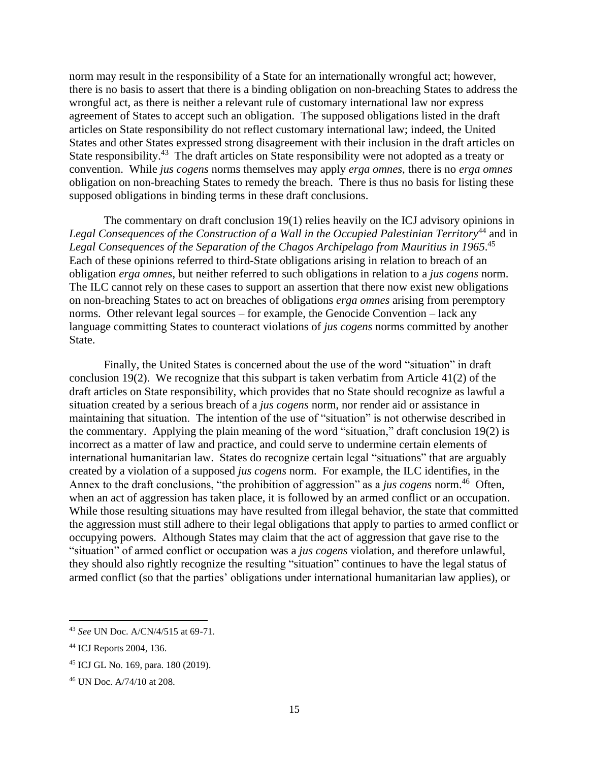norm may result in the responsibility of a State for an internationally wrongful act; however, there is no basis to assert that there is a binding obligation on non-breaching States to address the wrongful act, as there is neither a relevant rule of customary international law nor express agreement of States to accept such an obligation. The supposed obligations listed in the draft articles on State responsibility do not reflect customary international law; indeed, the United States and other States expressed strong disagreement with their inclusion in the draft articles on State responsibility.<sup>43</sup> The draft articles on State responsibility were not adopted as a treaty or convention. While *jus cogens* norms themselves may apply *erga omnes*, there is no *erga omnes*  obligation on non-breaching States to remedy the breach. There is thus no basis for listing these supposed obligations in binding terms in these draft conclusions.

The commentary on draft conclusion 19(1) relies heavily on the ICJ advisory opinions in *Legal Consequences of the Construction of a Wall in the Occupied Palestinian Territory*<sup>44</sup> and in Legal Consequences of the Separation of the Chagos Archipelago from Mauritius in 1965.<sup>45</sup> Each of these opinions referred to third-State obligations arising in relation to breach of an obligation *erga omnes*, but neither referred to such obligations in relation to a *jus cogens* norm. The ILC cannot rely on these cases to support an assertion that there now exist new obligations on non-breaching States to act on breaches of obligations *erga omnes* arising from peremptory norms. Other relevant legal sources – for example, the Genocide Convention – lack any language committing States to counteract violations of *jus cogens* norms committed by another State.

Finally, the United States is concerned about the use of the word "situation" in draft conclusion 19(2). We recognize that this subpart is taken verbatim from Article 41(2) of the draft articles on State responsibility, which provides that no State should recognize as lawful a situation created by a serious breach of a *jus cogens* norm, nor render aid or assistance in maintaining that situation. The intention of the use of "situation" is not otherwise described in the commentary. Applying the plain meaning of the word "situation," draft conclusion 19(2) is incorrect as a matter of law and practice, and could serve to undermine certain elements of international humanitarian law. States do recognize certain legal "situations" that are arguably created by a violation of a supposed *jus cogens* norm. For example, the ILC identifies, in the Annex to the draft conclusions, "the prohibition of aggression" as a *jus cogens* norm.<sup>46</sup> Often, when an act of aggression has taken place, it is followed by an armed conflict or an occupation. While those resulting situations may have resulted from illegal behavior, the state that committed the aggression must still adhere to their legal obligations that apply to parties to armed conflict or occupying powers. Although States may claim that the act of aggression that gave rise to the "situation" of armed conflict or occupation was a *jus cogens* violation, and therefore unlawful, they should also rightly recognize the resulting "situation" continues to have the legal status of armed conflict (so that the parties' obligations under international humanitarian law applies), or

<sup>43</sup> *See* UN Doc. A/CN/4/515 at 69-71.

<sup>44</sup> ICJ Reports 2004, 136.

<sup>45</sup> ICJ GL No. 169, para. 180 (2019).

<sup>46</sup> UN Doc. A/74/10 at 208.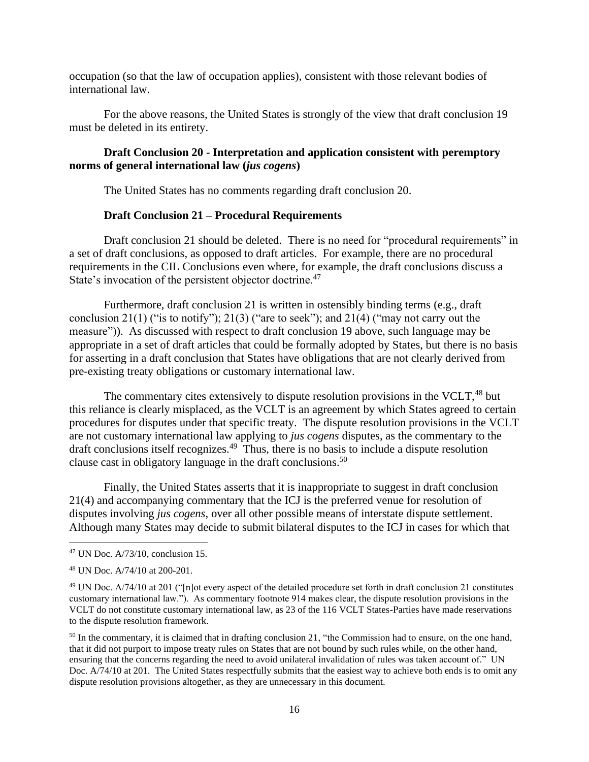occupation (so that the law of occupation applies), consistent with those relevant bodies of international law.

For the above reasons, the United States is strongly of the view that draft conclusion 19 must be deleted in its entirety.

### **Draft Conclusion 20 - Interpretation and application consistent with peremptory norms of general international law (***jus cogens***)**

The United States has no comments regarding draft conclusion 20.

### **Draft Conclusion 21 – Procedural Requirements**

Draft conclusion 21 should be deleted. There is no need for "procedural requirements" in a set of draft conclusions, as opposed to draft articles. For example, there are no procedural requirements in the CIL Conclusions even where, for example, the draft conclusions discuss a State's invocation of the persistent objector doctrine.<sup>47</sup>

Furthermore, draft conclusion 21 is written in ostensibly binding terms (e.g., draft conclusion 21(1) ("is to notify"); 21(3) ("are to seek"); and 21(4) ("may not carry out the measure")). As discussed with respect to draft conclusion 19 above, such language may be appropriate in a set of draft articles that could be formally adopted by States, but there is no basis for asserting in a draft conclusion that States have obligations that are not clearly derived from pre-existing treaty obligations or customary international law.

The commentary cites extensively to dispute resolution provisions in the VCLT.<sup>48</sup> but this reliance is clearly misplaced, as the VCLT is an agreement by which States agreed to certain procedures for disputes under that specific treaty. The dispute resolution provisions in the VCLT are not customary international law applying to *jus cogens* disputes, as the commentary to the draft conclusions itself recognizes.<sup>49</sup> Thus, there is no basis to include a dispute resolution clause cast in obligatory language in the draft conclusions. 50

Finally, the United States asserts that it is inappropriate to suggest in draft conclusion 21(4) and accompanying commentary that the ICJ is the preferred venue for resolution of disputes involving *jus cogens*, over all other possible means of interstate dispute settlement. Although many States may decide to submit bilateral disputes to the ICJ in cases for which that

<sup>47</sup> UN Doc. A/73/10, conclusion 15.

<sup>48</sup> UN Doc. A/74/10 at 200-201.

<sup>49</sup> UN Doc. A/74/10 at 201 ("[n]ot every aspect of the detailed procedure set forth in draft conclusion 21 constitutes customary international law."). As commentary footnote 914 makes clear, the dispute resolution provisions in the VCLT do not constitute customary international law, as 23 of the 116 VCLT States-Parties have made reservations to the dispute resolution framework.

<sup>&</sup>lt;sup>50</sup> In the commentary, it is claimed that in drafting conclusion 21, "the Commission had to ensure, on the one hand, that it did not purport to impose treaty rules on States that are not bound by such rules while, on the other hand, ensuring that the concerns regarding the need to avoid unilateral invalidation of rules was taken account of." UN Doc. A/74/10 at 201. The United States respectfully submits that the easiest way to achieve both ends is to omit any dispute resolution provisions altogether, as they are unnecessary in this document.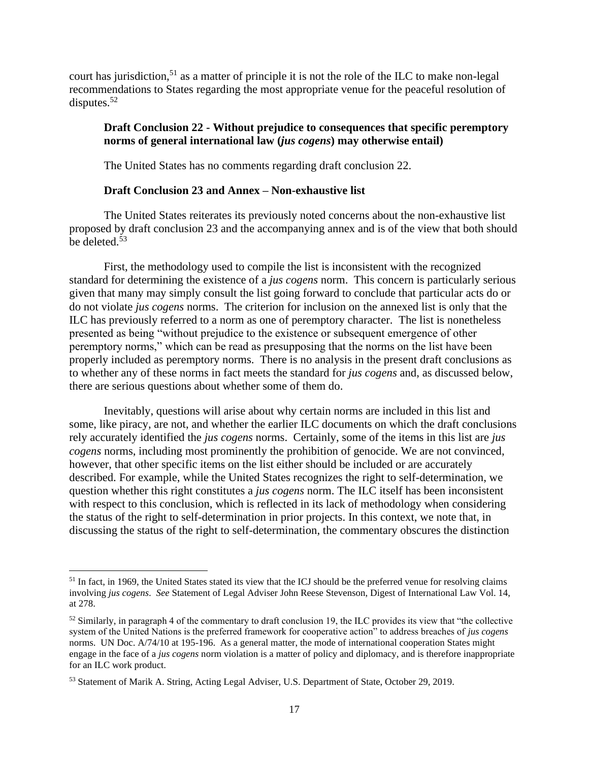court has jurisdiction,<sup>51</sup> as a matter of principle it is not the role of the ILC to make non-legal recommendations to States regarding the most appropriate venue for the peaceful resolution of disputes. $52$ 

## **Draft Conclusion 22 - Without prejudice to consequences that specific peremptory norms of general international law (***jus cogens***) may otherwise entail)**

The United States has no comments regarding draft conclusion 22.

### **Draft Conclusion 23 and Annex – Non-exhaustive list**

The United States reiterates its previously noted concerns about the non-exhaustive list proposed by draft conclusion 23 and the accompanying annex and is of the view that both should be deleted. 53

First, the methodology used to compile the list is inconsistent with the recognized standard for determining the existence of a *jus cogens* norm. This concern is particularly serious given that many may simply consult the list going forward to conclude that particular acts do or do not violate *jus cogens* norms. The criterion for inclusion on the annexed list is only that the ILC has previously referred to a norm as one of peremptory character. The list is nonetheless presented as being "without prejudice to the existence or subsequent emergence of other peremptory norms," which can be read as presupposing that the norms on the list have been properly included as peremptory norms. There is no analysis in the present draft conclusions as to whether any of these norms in fact meets the standard for *jus cogens* and, as discussed below, there are serious questions about whether some of them do.

Inevitably, questions will arise about why certain norms are included in this list and some, like piracy, are not, and whether the earlier ILC documents on which the draft conclusions rely accurately identified the *jus cogens* norms. Certainly, some of the items in this list are *jus cogens* norms, including most prominently the prohibition of genocide. We are not convinced, however, that other specific items on the list either should be included or are accurately described. For example, while the United States recognizes the right to self-determination, we question whether this right constitutes a *jus cogens* norm. The ILC itself has been inconsistent with respect to this conclusion, which is reflected in its lack of methodology when considering the status of the right to self-determination in prior projects. In this context, we note that, in discussing the status of the right to self-determination, the commentary obscures the distinction

<sup>&</sup>lt;sup>51</sup> In fact, in 1969, the United States stated its view that the ICJ should be the preferred venue for resolving claims involving *jus cogens*. *See* Statement of Legal Adviser John Reese Stevenson, Digest of International Law Vol. 14, at 278.

 $52$  Similarly, in paragraph 4 of the commentary to draft conclusion 19, the ILC provides its view that "the collective" system of the United Nations is the preferred framework for cooperative action" to address breaches of *jus cogens*  norms. UN Doc. A/74/10 at 195-196. As a general matter, the mode of international cooperation States might engage in the face of a *jus cogens* norm violation is a matter of policy and diplomacy, and is therefore inappropriate for an ILC work product.

<sup>53</sup> Statement of Marik A. String, Acting Legal Adviser, U.S. Department of State, October 29, 2019.